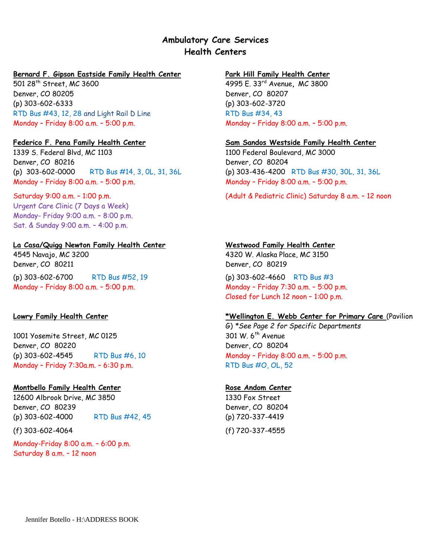# **Ambulatory Care Services Health Centers**

## **Bernard F. Gipson Eastside Family Health Center Park Hill Family Health Center**

501 28th Street, MC 3600 4995 E. 33rd Avenue**,** MC 3800 Denver, CO 80205 Denver, CO 80207 (p) 303-602-6333 (p) 303-602-3720 RTD Bus #43, 12, 28 and Light Rail D Line RTD Bus #34, 43 Monday – Friday 8:00 a.m. – 5:00 p.m. Monday – Friday 8:00 a.m. – 5:00 p.m.

1339 S. Federal Blvd, MC 1103 1100 Federal Boulevard, MC 3000 Denver, CO 80216 Denver, CO 80204 (p) 303-602-0000 RTD Bus #14, 3, 0L, 31, 36L (p) 303-436-4200 RTD Bus #30, 30L, 31, 36L Monday – Friday 8:00 a.m. – 5:00 p.m. Monday – Friday 8:00 a.m. – 5:00 p.m.

Saturday 9:00 a.m. – 1:00 p.m. Urgent Care Clinic (7 Days a Week) Monday- Friday 9:00 a.m. – 8:00 p.m. Sat. & Sunday 9:00 a.m. – 4:00 p.m.

## **La Casa/Quigg Newton Family Health Center Westwood Family Health Center**

4545 Navajo, MC 3200 4320 W. Alaska Place, MC 3150 Denver, CO 80211 Denver, CO 80219 (p) 303-602-6700 RTD Bus #52, 19 (p) 303-602-4660 RTD Bus #3 Monday – Friday 8:00 a.m. – 5:00 p.m. Monday – Friday 7:30 a.m. – 5:00 p.m.

1001 Yosemite Street, MC 0125 301 W. 6<sup>th</sup> Avenue Denver, CO 80220 Denver, CO 80204 (p) 303-602-4545 RTD Bus #6, 10 Monday – Friday 8:00 a.m. – 5:00 p.m. Monday – Friday 7:30a.m. – 6:30 p.m. RTD Bus #0, 0L, 52

## **Montbello Family Health Center Rose Andom Center**

12600 Albrook Drive, MC 3850 1330 Fox Street Denver, CO 80239 Denver, CO 80204 (p) 303-602-4000 RTD Bus #42, 45 (p) 720-337-4419

Monday-Friday 8:00 a.m. – 6:00 p.m. Saturday 8 a.m. – 12 noon

## **Federico F. Pena Family Health Center Sam Sandos Westside Family Health Center**

(Adult & Pediatric Clinic) Saturday 8 a.m. – 12 noon

Closed for Lunch 12 noon – 1:00 p.m.

## **Lowry Family Health Center \*Wellington E. Webb Center for Primary Care** (Pavilion

G) *\*See Page 2 for Specific Departments*

(f) 303-602-4064 (f) 720-337-4555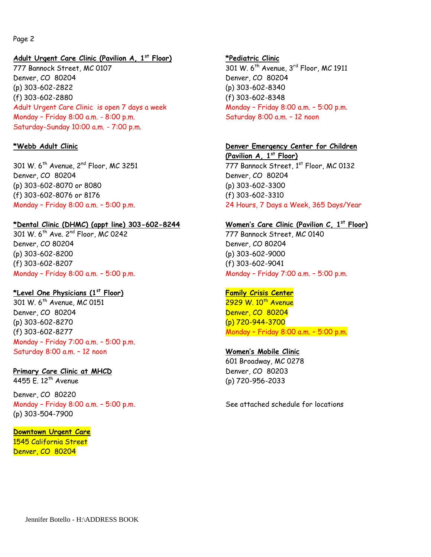### Page 2

### **Adult Urgent Care Clinic (Pavilion A, 1st Floor) \*Pediatric Clinic**

777 Bannock Street, MC 0107 301 W. 6<sup>th</sup> Avenue, 3<sup>rd</sup> Floor, MC 1911 Denver, CO 80204 Denver, CO 80204 (p) 303-602-2822 (p) 303-602-8340 (f) 303-602-2880 (f) 303-602-8348 Adult Urgent Care Clinic is open 7 days a week Monday – Friday 8:00 a.m. – 5:00 p.m. Monday – Friday 8:00 a.m. - 8:00 p.m. Saturday-Sunday 10:00 a.m. - 7:00 p.m.

Denver, CO 80204 Denver, CO 80204 (p) 303-602-8070 or 8080 (p) 303-602-3300 (f) 303-602-8076 or 8176 (f) 303-602-3310

### **\*Dental Clinic (DHMC) (appt line) 303-602-8244 Women's Care Clinic (Pavilion C, 1st Floor)**

301 W. 6<sup>th</sup> Ave. 2<sup>nd</sup> Floor, MC 0242 777 Bannock Street, MC 0140 Denver, CO 80204 Denver, CO 80204 (p) 303-602-8200 (p) 303-602-9000 (f) 303-602-8207 (f) 303-602-9041 Monday – Friday 8:00 a.m. – 5:00 p.m. Monday – Friday 7:00 a.m. – 5:00 p.m.

## **\*Level One Physicians (1**

301 W, 6<sup>th</sup> Avenue, MC 0151 2929 W, 10<sup>th</sup> Avenue Denver, CO 80204 Denver, CO 80204 (p) 303-602-8270 (p) 720-944-3700 (f) 303-602-8277 Monday – Friday 8:00 a.m. – 5:00 p.m. Monday – Friday 7:00 a.m. – 5:00 p.m. Saturday 8:00 a.m. – 12 noon **Women's Mobile Clinic**

### **Primary Care Clinic at MHCD** Denver, CO 80203

Denver, CO 80220 Monday – Friday 8:00 a.m. – 5:00 p.m. See attached schedule for locations (p) 303-504-7900

### **Downtown Urgent Care**

1545 California Street Denver, CO 80204

Saturday 8:00 a.m. – 12 noon

### **\*Webb Adult Clinic Denver Emergency Center for Children**

**(Pavilion A, 1st Floor)** 301 W. 6<sup>th</sup> Avenue,  $2^{nd}$  Floor, MC 3251 777 Bannock Street,  $1^{st}$  Floor, MC 0132 Monday – Friday 8:00 a.m. – 5:00 p.m. 24 Hours, 7 Days a Week, 365 Days/Year

### **Family Crisis Center**

601 Broadway, MC 0278 4455 E. 12th Avenue (p) 720-956-2033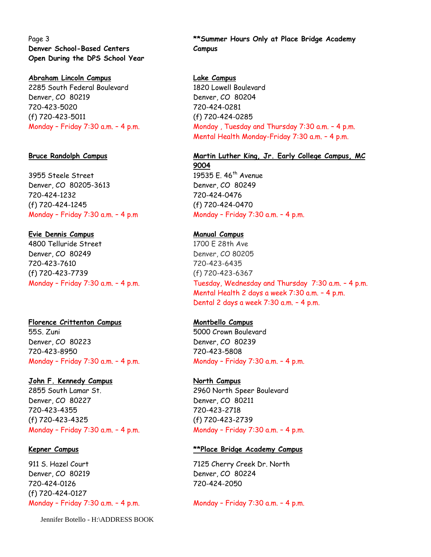Page 3 **Denver School-Based Centers Open During the DPS School Year**

### **Abraham Lincoln Campus Lake Campus**

2285 South Federal Boulevard 1820 Lowell Boulevard Denver, CO 80219 Denver, CO 80204 720-423-5020 (f) 720-423-5011

3955 Steele Street 19535 E. 46<sup>th</sup> Avenue Denver, CO 80205-3613 Denver, CO 80249 720-424-1232 (f) 720-424-1245

### **Evie Dennis Campus Manual Campus**

4800 Telluride Street 1700 E 28th Ave Denver, CO 80249 Denver, CO 80205 720-423-7610 (f) 720-423-7739

## **Florence Crittenton Campus Montbello Campus**

55S. Zuni 5000 Crown Boulevard Denver, CO 80223 Denver, CO 80239 720-423-8950 720-423-5808 Monday – Friday 7:30 a.m. – 4 p.m. Monday – Friday 7:30 a.m. – 4 p.m.

## **John F. Kennedy Campus North Campus**

2855 South Lamar St. 2960 North Speer Boulevard Denver, CO 80227 Denver, CO 80211 720-423-4355 (f) 720-423-4325 Monday – Friday 7:30 a.m. – 4 p.m. Monday – Friday 7:30 a.m. – 4 p.m.

911 S. Hazel Court 7125 Cherry Creek Dr. North Denver, CO 80219 Denver, CO 80224 720-424-0126 (f) 720-424-0127

Jennifer Botello - H:\ADDRESS BOOK

**\*\*Summer Hours Only at Place Bridge Academy Campus**

720-424-0281 (f) 720-424-0285 Monday - Friday 7:30 a.m. - 4 p.m. Monday , Tuesday and Thursday 7:30 a.m. - 4 p.m. Mental Health Monday-Friday 7:30 a.m. – 4 p.m.

## **Bruce Randolph Campus Martin Luther King, Jr. Early College Campus, MC**

**9004** 720-424-0476 (f) 720-424-0470 Monday – Friday 7:30 a.m. – 4 p.m Monday – Friday 7:30 a.m. – 4 p.m.

720-423-6435 (f) 720-423-6367 Monday – Friday 7:30 a.m. – 4 p.m. Tuesday, Wednesday and Thursday 7:30 a.m. – 4 p.m. Mental Health 2 days a week 7:30 a.m. – 4 p.m. Dental 2 days a week 7:30 a.m. – 4 p.m.

720-423-2718 (f) 720-423-2739

## **Kepner Campus \*\*Place Bridge Academy Campus**

720-424-2050

Monday – Friday 7:30 a.m. – 4 p.m. Monday – Friday 7:30 a.m. – 4 p.m.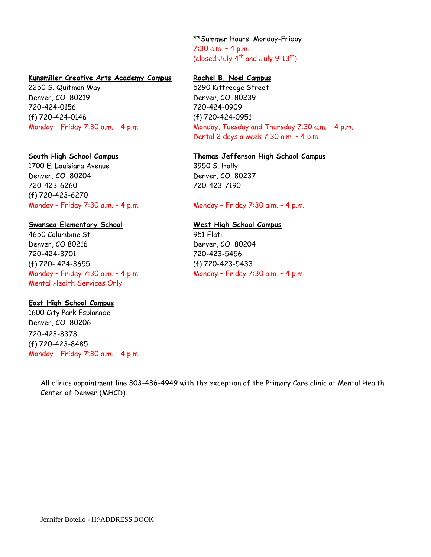\*\*Summer Hours: Monday-Friday 7:30 a.m. – 4 p.m. (closed July 4<sup>th</sup> and July 9-13<sup>th</sup>)

### **Kunsmiller Creative Arts Academy Campus Rachel B. Noel Campus**

2250 S. Quitman Way 5290 Kittredge Street Denver, CO 80219 Denver, CO 80239 720-424-0156 (f) 720-424-0146

1700 E. Louisiana Avenue 3950 S. Holly Denver, CO 80204 Denver, CO 80237 720-423-6260 (f) 720-423-6270 Monday - Friday 7:30 a.m. - 4 p.m. Monday - Friday 7:30 a.m. - 4 p.m.

### **Swansea Elementary School West High School Campus**

4650 Columbine St. 951 Elati Denver, CO 80216 Denver, CO 80204 720-424-3701 (f) 720- 424-3655 Monday – Friday 7:30 a.m. – 4 p.m. Mental Health Services Only

## **East High School Campus**

1600 City Park Esplanade Denver, CO 80206 720-423-8378 (f) 720-423-8485 Monday – Friday 7:30 a.m. – 4 p.m.

720-424-0909 (f) 720-424-0951 Monday - Friday 7:30 a.m. - 4 p.m. Monday, Tuesday and Thursday 7:30 a.m. - 4 p.m. Dental 2 days a week 7:30 a.m. – 4 p.m.

### **South High School Campus Thomas Jefferson High School Campus**

720-423-7190

720-423-5456 (f) 720-423-5433 Monday – Friday 7:30 a.m. – 4 p.m.

All clinics appointment line 303-436-4949 with the exception of the Primary Care clinic at Mental Health Center of Denver (MHCD).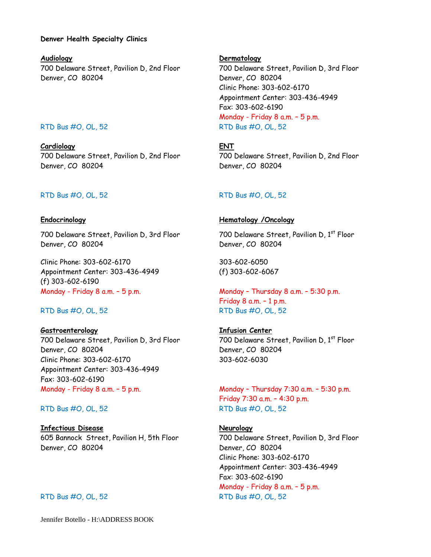### **Denver Health Specialty Clinics**

**Audiology Dermatology** 700 Delaware Street, Pavilion D, 2nd Floor 700 Delaware Street, Pavilion D, 3rd Floor Denver, CO 80204 Denver, CO 80204

**Cardiology ENT** 700 Delaware Street, Pavilion D, 2nd Floor 700 Delaware Street, Pavilion D, 2nd Floor Denver, CO 80204 Denver, CO 80204

### RTD Bus #O, OL, 52 RTD Bus #O, OL, 52

700 Delaware Street, Pavilion D, 3rd Floor 700 Delaware Street, Pavilion D, 1<sup>st</sup> Floor Denver, CO 80204 Denver, CO 80204

Clinic Phone: 303-602-6170 Appointment Center: 303-436-4949 (f) 303-602-6190 Monday - Friday 8 a.m. – 5 p.m. Monday – Thursday 8 a.m. – 5:30 p.m.

**Gastroenterology Infusion Center** 700 Delaware Street, Pavilion D, 3rd Floor 700 Delaware Street, Pavilion D, 1st Floor Denver, CO 80204 Denver, CO 80204 Clinic Phone: 303-602-6170 Appointment Center: 303-436-4949 Fax: 303-602-6190 Monday - Friday 8 a.m. – 5 p.m. Monday – Thursday 7:30 a.m. – 5:30 p.m.

**Infectious Disease Neurology** 605 Bannock Street, Pavilion H, 5th Floor 700 Delaware Street, Pavilion D, 3rd Floor Denver, CO 80204 Denver, CO 80204

Jennifer Botello - H:\ADDRESS BOOK

Clinic Phone: 303-602-6170 Appointment Center: 303-436-4949 Fax: 303-602-6190 Monday - Friday 8 a.m. – 5 p.m. RTD Bus #O, OL, 52 RTD Bus #O, OL, 52

### **Endocrinology Hematology /Oncology**

303-602-6050 (f) 303-602-6067

Friday 8 a.m. – 1 p.m. RTD Bus #O, OL, 52 RTD Bus #O, OL, 52

303-602-6030

Friday 7:30 a.m. – 4:30 p.m. RTD Bus #O, OL, 52 RTD Bus #O, OL, 52

Clinic Phone: 303-602-6170 Appointment Center: 303-436-4949 Fax: 303-602-6190 Monday - Friday 8 a.m. – 5 p.m. RTD Bus #O, OL, 52 RTD Bus #O, OL, 52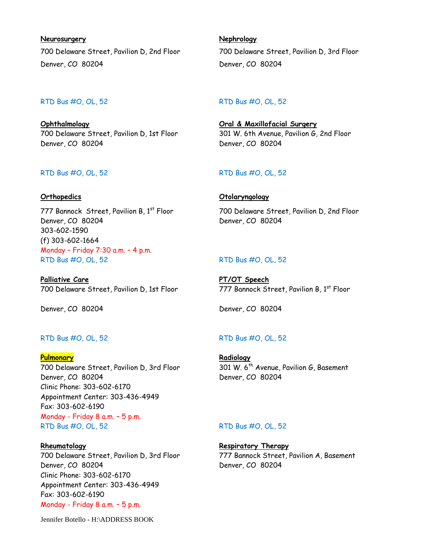**Neurosurgery Nephrology** 700 Delaware Street, Pavilion D, 2nd Floor 700 Delaware Street, Pavilion D, 3rd Floor Denver, CO 80204 Denver, CO 80204

**Ophthalmology Oral & Maxillofacial Surgery** 700 Delaware Street, Pavilion D, 1st Floor 301 W. 6th Avenue, Pavilion G, 2nd Floor Denver, CO 80204 Denver, CO 80204

Denver, CO 80204 Denver, CO 80204 303-602-1590 (f) 303-602-1664 Monday – Friday 7:30 a.m. – 4 p.m. RTD Bus #O, OL, 52 RTD Bus #O, OL, 52

**Palliative Care PT/OT Speech** 700 Delaware Street, Pavilion D, 1st Floor 777 Bannock Street, Pavilion B, 1st Floor

Denver, CO 80204 Denver, CO 80204

### RTD Bus #O, OL, 52 RTD Bus #O, OL, 52

**Pulmonary Radiology** 700 Delaware Street, Pavilion D, 3rd Floor 301 W. 6<sup>th</sup> Avenue, Pavilion G, Basement Denver, CO 80204 Denver, CO 80204 Clinic Phone: 303-602-6170 Appointment Center: 303-436-4949 Fax: 303-602-6190 Monday - Friday 8 a.m. – 5 p.m. RTD Bus #O, OL, 52 RTD Bus #O, OL, 52

**Rheumatology Respiratory Therapy** 700 Delaware Street, Pavilion D, 3rd Floor 777 Bannock Street, Pavilion A, Basement Denver, CO 80204 Denver, CO 80204 Clinic Phone: 303-602-6170 Appointment Center: 303-436-4949 Fax: 303-602-6190 Monday - Friday 8 a.m. – 5 p.m.

Jennifer Botello - H:\ADDRESS BOOK

### RTD Bus #O, OL, 52 RTD Bus #O, OL, 52

## RTD Bus #O, OL, 52 RTD Bus #O, OL, 52

### **Orthopedics Otolaryngology**

777 Bannock Street, Pavilion B, 1<sup>st</sup> Floor 700 Delaware Street, Pavilion D, 2nd Floor